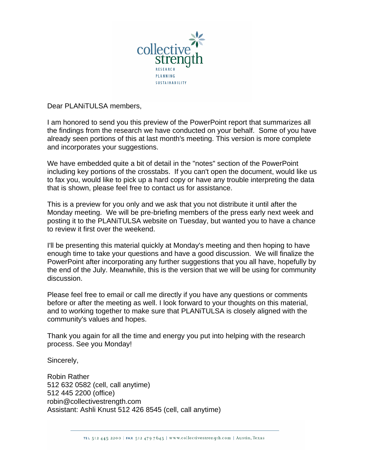

Dear PLANiTULSA members,

I am honored to send you this preview of the PowerPoint report that summarizes all the findings from the research we have conducted on your behalf. Some of you have already seen portions of this at last month's meeting. This version is more complete and incorporates your suggestions.

We have embedded quite a bit of detail in the "notes" section of the PowerPoint including key portions of the crosstabs. If you can't open the document, would like us to fax you, would like to pick up a hard copy or have any trouble interpreting the data that is shown, please feel free to contact us for assistance.

This is a preview for you only and we ask that you not distribute it until after the Monday meeting. We will be pre-briefing members of the press early next week and posting it to the PLANiTULSA website on Tuesday, but wanted you to have a chance to review it first over the weekend.

I'll be presenting this material quickly at Monday's meeting and then hoping to have enough time to take your questions and have a good discussion. We will finalize the PowerPoint after incorporating any further suggestions that you all have, hopefully by the end of the July. Meanwhile, this is the version that we will be using for community discussion.

Please feel free to email or call me directly if you have any questions or comments before or after the meeting as well. I look forward to your thoughts on this material, and to working together to make sure that PLANiTULSA is closely aligned with the community's values and hopes.

Thank you again for all the time and energy you put into helping with the research process. See you Monday!

Sincerely,

Robin Rather 512 632 0582 (cell, call anytime) 512 445 2200 (office) robin@collectivestrength.com Assistant: Ashli Knust 512 426 8545 (cell, call anytime)

TEL 512 445 2200 | FAX 512 479 7645 | www.collectivestrength.com | Austin, Texas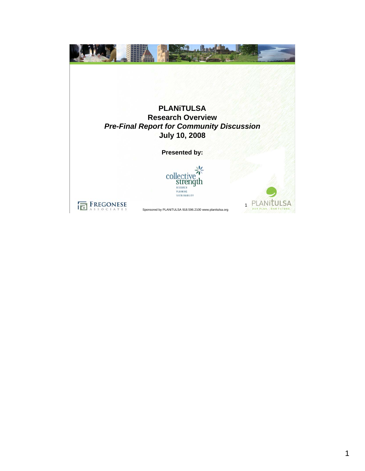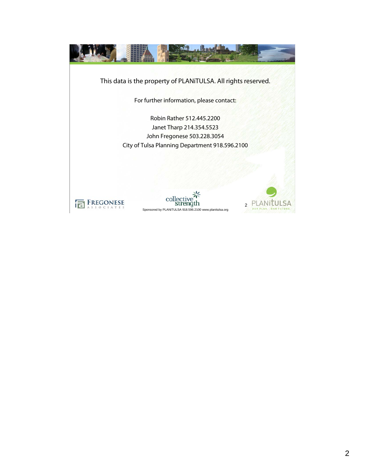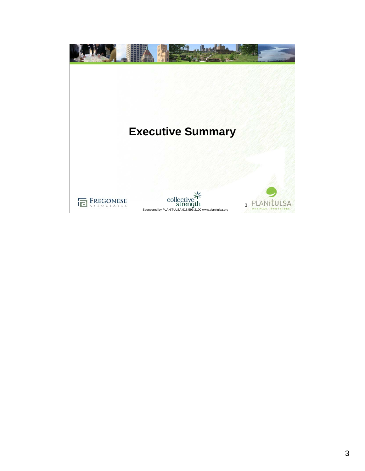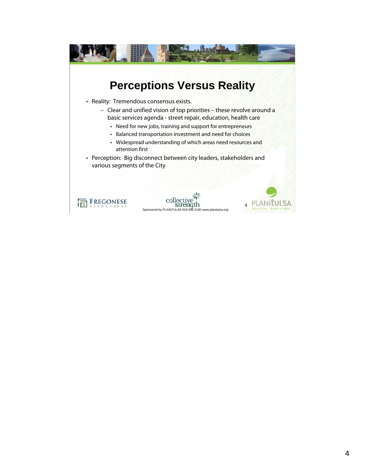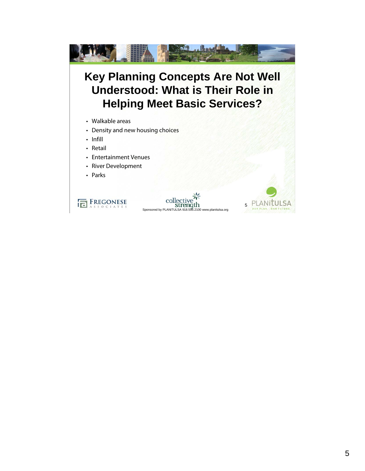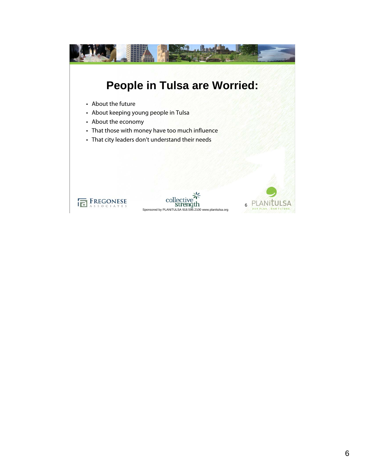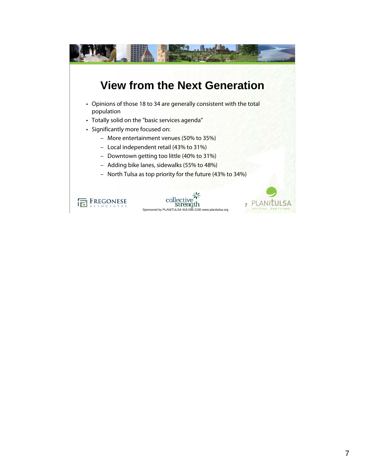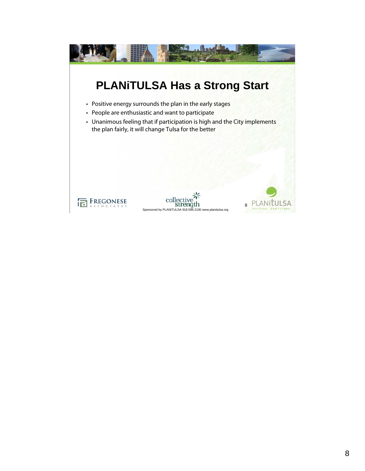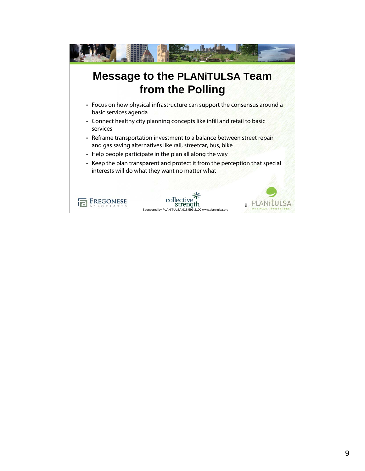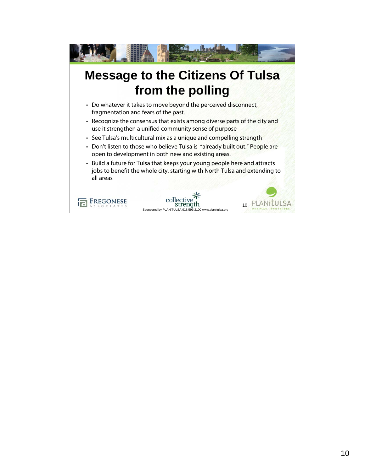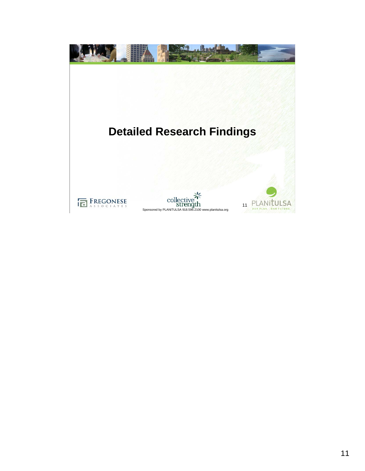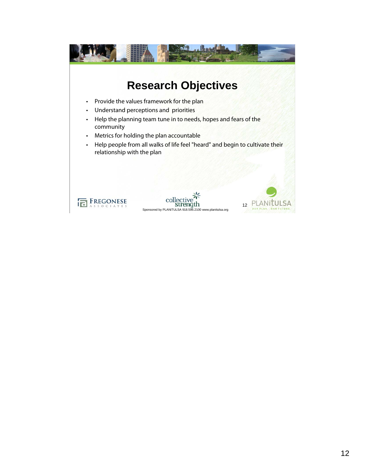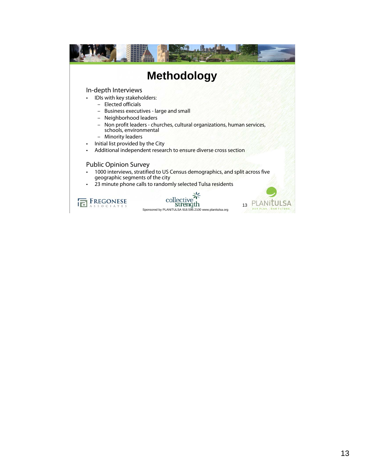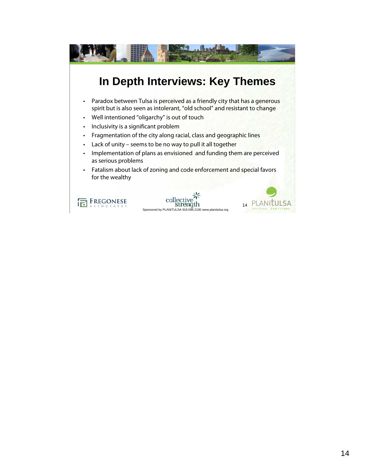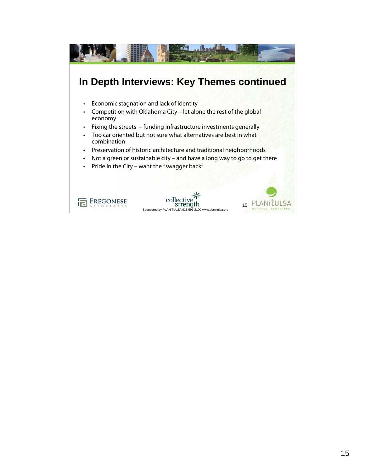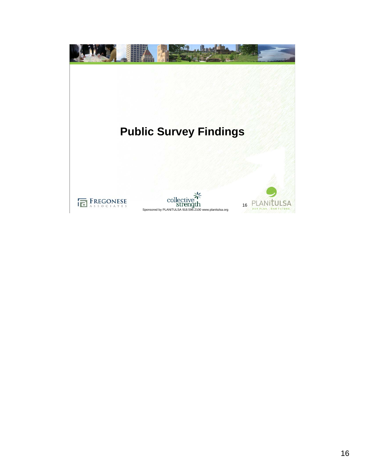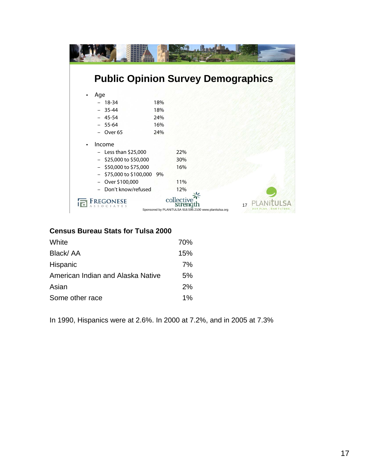|                            | <b>Public Opinion Survey Demographics</b>                                                |
|----------------------------|------------------------------------------------------------------------------------------|
| Age                        |                                                                                          |
| $-18-34$                   | 18%                                                                                      |
| $-35-44$                   | 18%                                                                                      |
| $-45-54$                   | 24%                                                                                      |
| $-55-64$                   | 16%                                                                                      |
| Over 65                    | 24%                                                                                      |
| Income                     |                                                                                          |
| $-$ Less than \$25,000     | 22%                                                                                      |
| \$25,000 to \$50,000       | 30%                                                                                      |
| $-$ \$50,000 to \$75,000   | 16%                                                                                      |
| - \$75,000 to \$100,000 9% |                                                                                          |
| Over \$100,000             | 11%                                                                                      |
| Don't know/refused         | 12%                                                                                      |
| FREGONESE                  | collective <sup>2</sup><br>17<br>Sponsored by PLANiTULSA 918.596.2100 www.planitulsa.org |

## **Census Bureau Stats for Tulsa 2000**

| White                             | 70%   |
|-----------------------------------|-------|
| Black/AA                          | 15%   |
| Hispanic                          | 7%    |
| American Indian and Alaska Native | 5%    |
| Asian                             | 2%    |
| Some other race                   | $1\%$ |

In 1990, Hispanics were at 2.6%. In 2000 at 7.2%, and in 2005 at 7.3%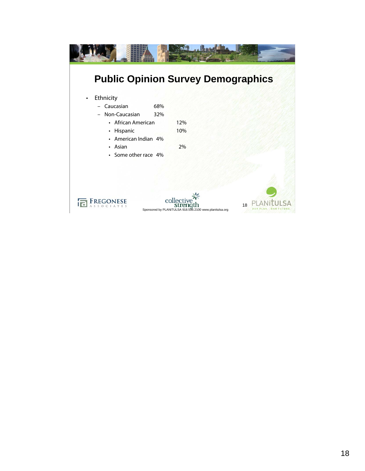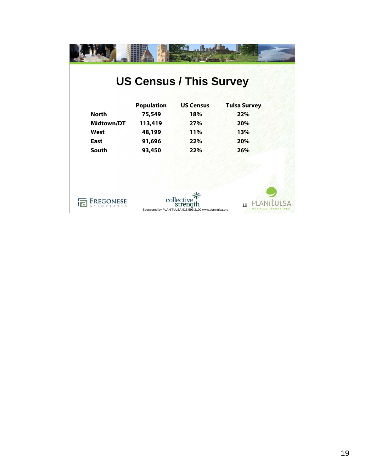|                   |                   | <b>US Census / This Survey</b>                          |                     |
|-------------------|-------------------|---------------------------------------------------------|---------------------|
|                   | <b>Population</b> | <b>US Census</b>                                        | <b>Tulsa Survey</b> |
| <b>North</b>      | 75,549            | 18%                                                     | 22%                 |
| <b>Midtown/DT</b> | 113,419           | 27%                                                     | 20%                 |
| West              | 48,199            | 11%                                                     | 13%                 |
| <b>East</b>       | 91,696            | 22%                                                     | 20%                 |
| South             | 93,450            | 22%                                                     | 26%                 |
|                   |                   |                                                         |                     |
|                   |                   |                                                         |                     |
| <b>REGONESE</b>   |                   | collective<br>streng                                    |                     |
|                   |                   | Sponsored by PLANiTULSA 918.596.2100 www.planitulsa.org | 19                  |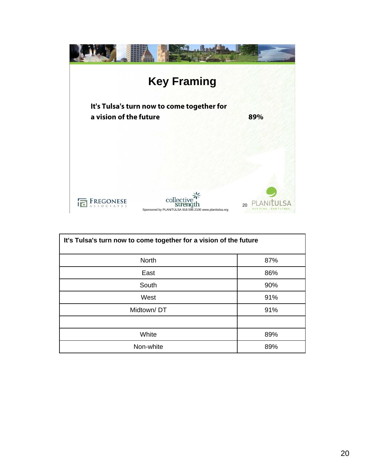

| It's Tulsa's turn now to come together for a vision of the future |     |  |
|-------------------------------------------------------------------|-----|--|
| <b>North</b>                                                      | 87% |  |
| East                                                              | 86% |  |
| South                                                             | 90% |  |
| West                                                              | 91% |  |
| Midtown/DT                                                        | 91% |  |
|                                                                   |     |  |
| White                                                             | 89% |  |
| Non-white                                                         | 89% |  |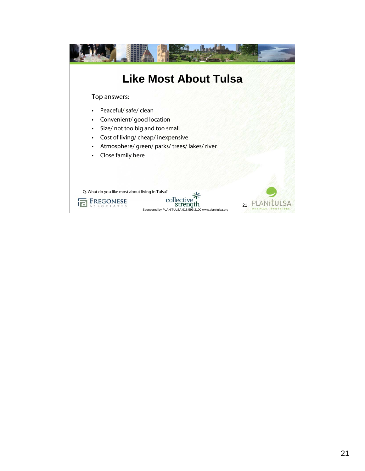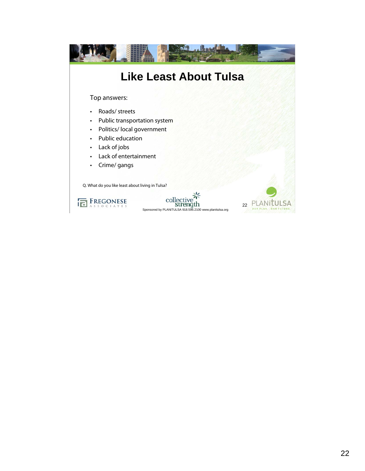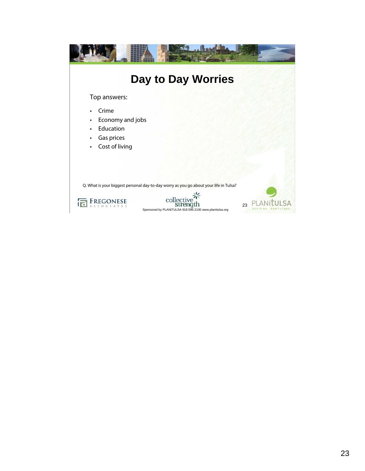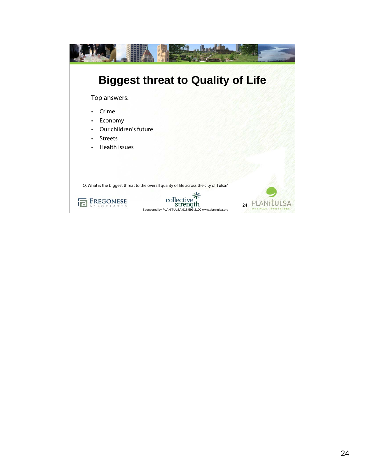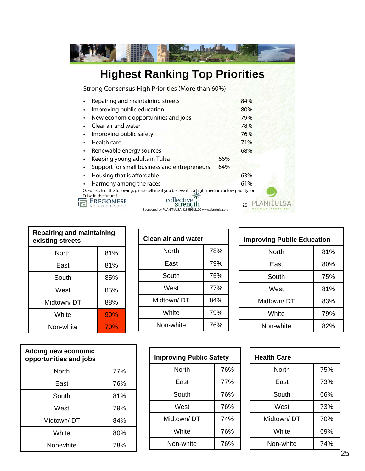| <b>Highest Ranking Top Priorities</b>                                                                                        |     |
|------------------------------------------------------------------------------------------------------------------------------|-----|
| Strong Consensus High Priorities (More than 60%)                                                                             |     |
| Repairing and maintaining streets                                                                                            | 84% |
| Improving public education<br>٠                                                                                              | 80% |
| New economic opportunities and jobs<br>٠                                                                                     | 79% |
| Clear air and water                                                                                                          | 78% |
| Improving public safety<br>٠                                                                                                 | 76% |
| Health care<br>$\bullet$                                                                                                     | 71% |
| Renewable energy sources<br>٠                                                                                                | 68% |
| Keeping young adults in Tulsa<br>٠                                                                                           | 66% |
| Support for small business and entrepreneurs<br>٠                                                                            | 64% |
| Housing that is affordable<br>٠                                                                                              | 63% |
| Harmony among the races                                                                                                      | 61% |
| Q. For each of the following, please tell me if you believe it is a high, medium or low priority for<br>Tulsa in the future? |     |
| collectiv<br>Sponsored by PLANiTULSA 918.596.2100 www.planitulsa.org                                                         | 25  |

| <b>Repairing and maintaining</b><br>existing streets |     |  |
|------------------------------------------------------|-----|--|
| North                                                | 81% |  |
| East                                                 | 81% |  |
| South                                                | 85% |  |
| West                                                 | 85% |  |
| Midtown/DT                                           | 88% |  |
| White                                                | 90% |  |
| Non-white                                            | 70% |  |

| <b>Adding new economic</b><br>opportunities and jobs |     |  |
|------------------------------------------------------|-----|--|
| North                                                | 77% |  |
| East                                                 | 76% |  |
| South                                                | 81% |  |
| West                                                 | 79% |  |
| Midtown/DT                                           | 84% |  |
| White                                                | 80% |  |
| Non-white                                            | 78% |  |

| <b>Clean air and water</b> |     |  |
|----------------------------|-----|--|
| North                      | 78% |  |
| East                       | 79% |  |
| South                      | 75% |  |
| West                       | 77% |  |
| Midtown/DT                 | 84% |  |
| White                      | 79% |  |
| Non-white                  | 76% |  |

| <b>Improving Public Safety</b> |     |  |
|--------------------------------|-----|--|
| North                          | 76% |  |
| East                           | 77% |  |
| South                          | 76% |  |
| West                           | 76% |  |
| Midtown/DT                     | 74% |  |
| White                          | 76% |  |
| Non-white                      | 76% |  |

| <b>Improving Public Education</b> |     |  |
|-----------------------------------|-----|--|
| North                             | 81% |  |
| East                              | 80% |  |
| South                             | 75% |  |
| West                              | 81% |  |
| Midtown/DT                        | 83% |  |
| White                             | 79% |  |
| Non-white                         | 82% |  |

| <b>Health Care</b> |     |  |
|--------------------|-----|--|
| North              | 75% |  |
| East               | 73% |  |
| South              | 66% |  |
| West               | 73% |  |
| Midtown/DT         | 70% |  |
| White              | 69% |  |
| Non-white          | 74% |  |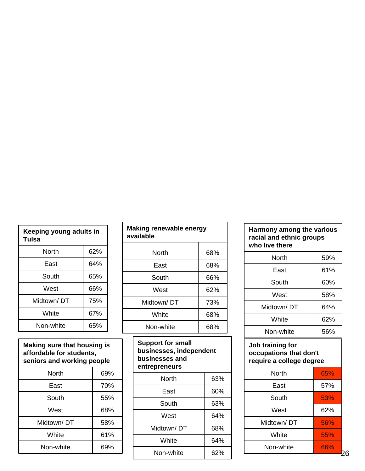| Keeping young adults in<br>Tulsa |     |  |
|----------------------------------|-----|--|
| North                            | 62% |  |
| East                             | 64% |  |
| South                            | 65% |  |
| West                             | 66% |  |
| Midtown/DT                       | 75% |  |
| White                            | 67% |  |
| Non-white                        | 65% |  |

| Making sure that housing is<br>affordable for students,<br>seniors and working people |     |  |  |
|---------------------------------------------------------------------------------------|-----|--|--|
| North                                                                                 | 69% |  |  |
| East                                                                                  | 70% |  |  |
| South                                                                                 | 55% |  |  |
| West                                                                                  | 68% |  |  |
| Midtown/DT                                                                            | 58% |  |  |
| White                                                                                 | 61% |  |  |
| Non-white                                                                             | 69% |  |  |

| Making renewable energy<br>available |     |  |  |  |
|--------------------------------------|-----|--|--|--|
| North                                | 68% |  |  |  |
| East                                 | 68% |  |  |  |
| South                                | 66% |  |  |  |
| West                                 | 62% |  |  |  |
| Midtown/DT                           | 73% |  |  |  |
| White                                | 68% |  |  |  |
| Non-white                            | 68% |  |  |  |
| Sunnart far emall                    |     |  |  |  |

| <b>Support for small</b><br>businesses, independent<br>businesses and<br>entrepreneurs |     |  |  |
|----------------------------------------------------------------------------------------|-----|--|--|
| North                                                                                  | 63% |  |  |
| East                                                                                   | 60% |  |  |
| South                                                                                  | 63% |  |  |
| West                                                                                   | 64% |  |  |
| Midtown/DT                                                                             | 68% |  |  |
| White                                                                                  | 64% |  |  |
| Non-white                                                                              | 62% |  |  |
|                                                                                        |     |  |  |

| Harmony among the various<br>racial and ethnic groups<br>who live there |     |  |  |
|-------------------------------------------------------------------------|-----|--|--|
| North                                                                   | 59% |  |  |
| East                                                                    | 61% |  |  |
| South                                                                   | 60% |  |  |
| West                                                                    | 58% |  |  |
| Midtown/DT                                                              | 64% |  |  |
| White                                                                   | 62% |  |  |
| Non-white                                                               | 56% |  |  |

## **Job training for occupations that don't require a college degree**

| North      | 65% |
|------------|-----|
| East       | 57% |
| South      | 53% |
| West       | 62% |
| Midtown/DT | 56% |
| White      | 55% |
| Non-white  | 66% |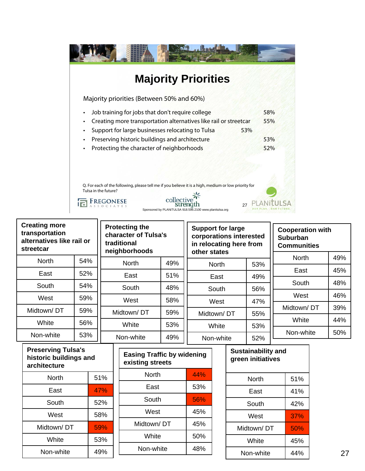| <b>Majority Priorities</b>                                                                                                   |     |
|------------------------------------------------------------------------------------------------------------------------------|-----|
| Majority priorities (Between 50% and 60%)                                                                                    |     |
| Job training for jobs that don't require college<br>$\bullet$                                                                | 58% |
| Creating more transportation alternatives like rail or streetcar<br>٠                                                        | 55% |
| Support for large businesses relocating to Tulsa<br>53%<br>٠                                                                 |     |
| Preserving historic buildings and architecture<br>$\bullet$                                                                  | 53% |
| Protecting the character of neighborhoods<br>$\bullet$                                                                       | 52% |
|                                                                                                                              |     |
|                                                                                                                              |     |
| Q. For each of the following, please tell me if you believe it is a high, medium or low priority for<br>Tulsa in the future? |     |
| collec<br>27                                                                                                                 |     |

| <b>Creating more</b><br>transportation<br>alternatives like rail or<br>streetcar |     | <b>Protecting the</b><br>character of Tulsa's<br>traditional<br>neighborhoods |     | <b>Support for large</b><br>corporations interested<br>in relocating here from<br>other states |     | <b>Cooperation with</b><br><b>Suburban</b><br><b>Communities</b> |     |
|----------------------------------------------------------------------------------|-----|-------------------------------------------------------------------------------|-----|------------------------------------------------------------------------------------------------|-----|------------------------------------------------------------------|-----|
| <b>North</b>                                                                     | 54% | <b>North</b>                                                                  | 49% | <b>North</b>                                                                                   | 53% | <b>North</b>                                                     | 49% |
| East                                                                             | 52% | East                                                                          | 51% | East                                                                                           | 49% | East                                                             | 45% |
| South                                                                            | 54% | South                                                                         | 48% |                                                                                                |     | South                                                            | 48% |
|                                                                                  |     |                                                                               |     | South                                                                                          | 56% | West                                                             | 46% |
| West                                                                             | 59% | West                                                                          | 58% | West                                                                                           | 47% |                                                                  |     |
| Midtown/DT                                                                       | 59% | Midtown/DT                                                                    | 59% | Midtown/DT                                                                                     | 55% | Midtown/DT                                                       | 39% |
| White                                                                            |     |                                                                               |     |                                                                                                |     | White                                                            | 44% |
|                                                                                  | 56% | White                                                                         | 53% | White                                                                                          | 53% |                                                                  |     |
| Non-white                                                                        | 53% | Non-white                                                                     | 49% | Non-white                                                                                      | 52% | Non-white                                                        | 50% |

| <b>Preserving Tulsa's</b><br>historic buildings and<br>architecture |     |  |  |
|---------------------------------------------------------------------|-----|--|--|
| North                                                               | 51% |  |  |
| East                                                                | 47% |  |  |
| South                                                               | 52% |  |  |
| West                                                                | 58% |  |  |
| Midtown/DT                                                          | 59% |  |  |
| White                                                               | 53% |  |  |
| Non-white                                                           | 49% |  |  |

| <b>Easing Traffic by widening</b><br>existing streets |     |  |  |
|-------------------------------------------------------|-----|--|--|
| North                                                 | 44% |  |  |
| East                                                  | 53% |  |  |
| South                                                 | 56% |  |  |
| West                                                  | 45% |  |  |
| Midtown/DT                                            | 45% |  |  |
| White                                                 | 50% |  |  |
| Non-white                                             | 48% |  |  |
|                                                       |     |  |  |

| <b>Sustainability and</b><br>green initiatives |     |  |  |
|------------------------------------------------|-----|--|--|
| North                                          | 51% |  |  |
| East                                           | 41% |  |  |
| South                                          | 42% |  |  |
| West                                           | 37% |  |  |
| Midtown/DT                                     | 50% |  |  |
| White                                          | 45% |  |  |
| Non-white                                      | 44% |  |  |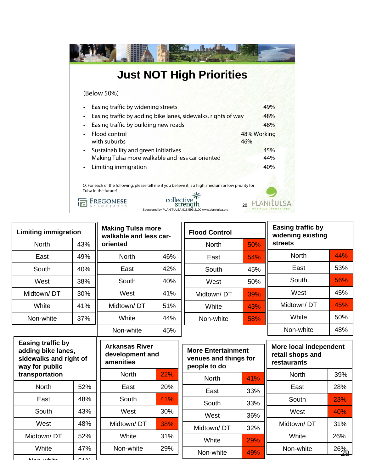| <b>Just NOT High Priorities</b>                                                                                                                                                                     |                    |
|-----------------------------------------------------------------------------------------------------------------------------------------------------------------------------------------------------|--------------------|
| (Below 50%)                                                                                                                                                                                         |                    |
| Easing traffic by widening streets                                                                                                                                                                  | 49%                |
| Easing traffic by adding bike lanes, sidewalks, rights of way                                                                                                                                       | 48%                |
| Easing traffic by building new roads                                                                                                                                                                | 48%                |
| Flood control<br>with suburbs                                                                                                                                                                       | 48% Working<br>46% |
| Sustainability and green initiatives                                                                                                                                                                | 45%                |
| Making Tulsa more walkable and less car oriented                                                                                                                                                    | 44%                |
| Limiting immigration                                                                                                                                                                                | 40%                |
| Q. For each of the following, please tell me if you believe it is a high, medium or low priority for<br>Tulsa in the future?<br>collecti<br>Sponsored by PLANiTULSA 918.596.2100 www.planitulsa.org | 28                 |

| <b>Limiting immigration</b>                                                                |              | <b>Making Tulsa more</b><br>walkable and less car-    |     | <b>Flood Control</b>                                               |     | <b>Easing traffic by</b><br>widening existing             |                   |
|--------------------------------------------------------------------------------------------|--------------|-------------------------------------------------------|-----|--------------------------------------------------------------------|-----|-----------------------------------------------------------|-------------------|
| <b>North</b>                                                                               | 43%          | oriented                                              |     |                                                                    | 50% | <b>streets</b>                                            |                   |
| East                                                                                       | 49%          | <b>North</b>                                          | 46% | East                                                               | 54% | <b>North</b>                                              | 44%               |
| South                                                                                      | 40%          | East                                                  | 42% | South                                                              | 45% | East                                                      | 53%               |
| West                                                                                       | 38%          | South                                                 | 40% | West                                                               | 50% | South                                                     | 56%               |
| Midtown/DT                                                                                 | 30%          | West                                                  | 41% | Midtown/DT                                                         | 39% | West                                                      | 45%               |
| White                                                                                      | 41%          | Midtown/DT                                            | 51% | White                                                              | 43% | Midtown/DT                                                | 45%               |
| Non-white                                                                                  | 37%          | White                                                 | 44% | Non-white                                                          | 58% | White                                                     | 50%               |
|                                                                                            |              | Non-white                                             | 45% |                                                                    |     | Non-white                                                 | 48%               |
| <b>Easing traffic by</b><br>adding bike lanes,<br>sidewalks and right of<br>way for public |              | <b>Arkansas River</b><br>development and<br>amenities |     | <b>More Entertainment</b><br>venues and things for<br>people to do |     | More local independent<br>retail shops and<br>restaurants |                   |
| transportation                                                                             |              | <b>North</b>                                          | 22% | <b>North</b>                                                       | 41% | <b>North</b>                                              | 39%               |
| <b>North</b>                                                                               | 52%          | East                                                  | 20% | East                                                               | 33% | East                                                      | 28%               |
| East                                                                                       | 48%          | South                                                 | 41% | South                                                              | 33% | South                                                     | 23%               |
| South                                                                                      | 43%          | West                                                  | 30% | West                                                               | 36% | West                                                      | 40%               |
| West                                                                                       | 48%          | Midtown/DT                                            | 38% | Midtown/DT                                                         | 32% | Midtown/DT                                                | 31%               |
| Midtown/DT                                                                                 | 52%          | White                                                 | 31% | White                                                              | 29% | White                                                     | 26%               |
| White<br>لملائمات المتمالة                                                                 | 47%<br>F A O | Non-white                                             | 29% | Non-white                                                          | 49% | Non-white                                                 | $\frac{26\%}{28}$ |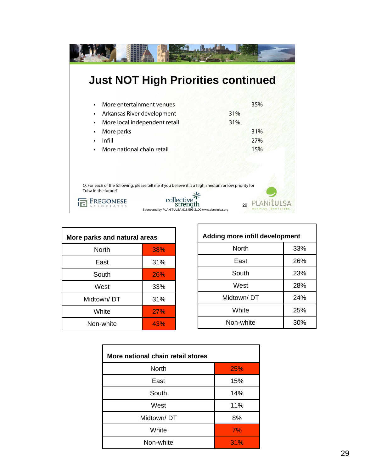| <b>Just NOT High Priorities continued</b>                                                                                                                                                           |            |
|-----------------------------------------------------------------------------------------------------------------------------------------------------------------------------------------------------|------------|
| More entertainment venues                                                                                                                                                                           | 35%        |
| Arkansas River development<br>٠<br>More local independent retail                                                                                                                                    | 31%<br>31% |
| More parks<br>Infill                                                                                                                                                                                | 31%<br>27% |
| More national chain retail                                                                                                                                                                          | 15%        |
|                                                                                                                                                                                                     |            |
| Q. For each of the following, please tell me if you believe it is a high, medium or low priority for<br>Tulsa in the future?<br>collecti<br>Sponsored by PLANiTULSA 918.596.2100 www.planitulsa.org | 29         |

| More parks and natural areas |     |
|------------------------------|-----|
| North                        | 38% |
| East                         | 31% |
| South                        | 26% |
| West                         | 33% |
| Midtown/DT                   | 31% |
| White                        | 27% |
| Non-white                    | 43% |

| <b>Adding more infill development</b> |     |
|---------------------------------------|-----|
| North                                 | 33% |
| East                                  | 26% |
| South                                 | 23% |
| West                                  | 28% |
| Midtown/DT                            | 24% |
| White                                 | 25% |
| Non-white                             | 30% |

| More national chain retail stores |            |
|-----------------------------------|------------|
| <b>North</b>                      | <b>25%</b> |
| East                              | 15%        |
| South                             | 14%        |
| West                              | 11%        |
| Midtown/DT                        | 8%         |
| White                             | 7%         |
| Non-white                         | 31%        |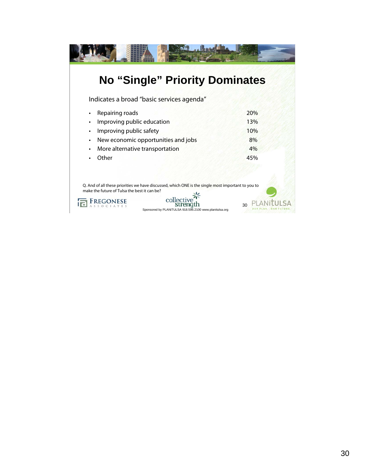| <b>No "Single" Priority Dominates</b>                                                                                                              |     |
|----------------------------------------------------------------------------------------------------------------------------------------------------|-----|
| Indicates a broad "basic services agenda"                                                                                                          |     |
| Repairing roads                                                                                                                                    | 20% |
| Improving public education<br>$\bullet$                                                                                                            | 13% |
| Improving public safety<br>$\bullet$                                                                                                               | 10% |
| New economic opportunities and jobs<br>$\bullet$                                                                                                   | 8%  |
| More alternative transportation<br>$\bullet$                                                                                                       | 4%  |
| Other                                                                                                                                              | 45% |
|                                                                                                                                                    |     |
|                                                                                                                                                    |     |
| Q. And of all these priorities we have discussed, which ONE is the single most important to you to<br>make the future of Tulsa the best it can be? |     |
| collectiv<br>Sponsored by PLANiTULSA 918.596.2100 www.planitulsa.org                                                                               | 30  |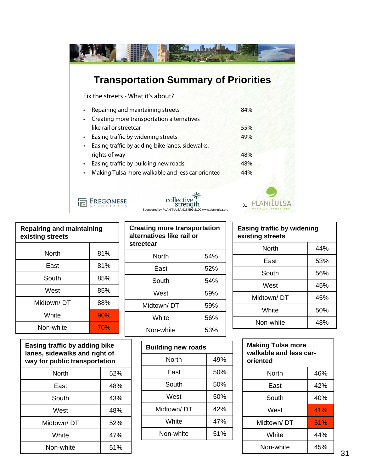| <b>Transportation Summary of Priorities</b>                                           |     |
|---------------------------------------------------------------------------------------|-----|
| Fix the streets - What it's about?                                                    |     |
| Repairing and maintaining streets<br>Creating more transportation alternatives        | 84% |
| like rail or streetcar                                                                | 55% |
| Easing traffic by widening streets<br>Easing traffic by adding bike lanes, sidewalks, | 49% |
| rights of way                                                                         | 48% |
| Easing traffic by building new roads                                                  | 48% |
| Making Tulsa more walkable and less car oriented                                      | 44% |
| collect<br>Sponsored by PLANiTULSA 918.596.2100 www.planitulsa.org                    | 31  |

| <b>Repairing and maintaining</b><br>existing streets |     |
|------------------------------------------------------|-----|
| North                                                | 81% |
| East                                                 | 81% |
| South                                                | 85% |
| West                                                 | 85% |
| Midtown/DT                                           | 88% |
| White                                                | 90% |
| Non-white                                            | 70% |

| Easing traffic by adding bike<br>lanes, sidewalks and right of<br>way for public transportation |     |
|-------------------------------------------------------------------------------------------------|-----|
| North                                                                                           | 52% |
| East                                                                                            | 48% |
| South                                                                                           | 43% |
| West                                                                                            | 48% |
| Midtown/DT                                                                                      | 52% |
| White                                                                                           | 47% |
| Non-white                                                                                       | 51% |

| <b>Creating more transportation</b><br>alternatives like rail or<br>streetcar |     |
|-------------------------------------------------------------------------------|-----|
| North                                                                         | 54% |
| East                                                                          | 52% |
| South                                                                         | 54% |
| West                                                                          | 59% |
| Midtown/DT                                                                    | 59% |
| White                                                                         | 56% |
| Non-white                                                                     | 53% |

| <b>Building new roads</b> |     |
|---------------------------|-----|
| North                     | 49% |
| East                      | 50% |
| South                     | 50% |
| West                      | 50% |
| Midtown/ DT               | 42% |
| White                     | 47% |
| Non-white                 | 51% |

| Easing traffic by widening<br>existing streets |     |
|------------------------------------------------|-----|
| North                                          | 44% |
| East                                           | 53% |
| South                                          | 56% |
| West                                           | 45% |
| Midtown/DT                                     | 45% |
| White                                          | 50% |
| Non-white                                      | 48% |

| <b>Making Tulsa more</b><br>walkable and less car-<br>oriented |     |
|----------------------------------------------------------------|-----|
| North                                                          | 46% |
| East                                                           | 42% |
| South                                                          | 40% |
| West                                                           | 41% |
| Midtown/DT                                                     | 51% |
| White                                                          | 44% |
| Non-white                                                      | 45% |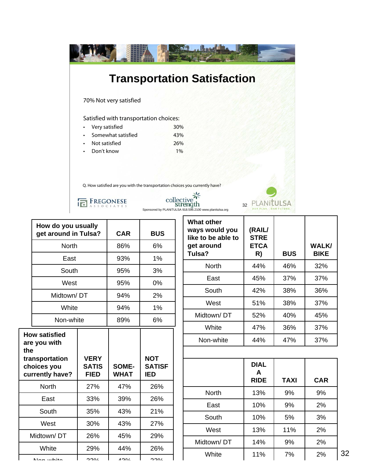|                                        | <b>Transportation Satisfaction</b>                                                  |
|----------------------------------------|-------------------------------------------------------------------------------------|
| 70% Not very satisfied                 |                                                                                     |
| Satisfied with transportation choices: |                                                                                     |
| Very satisfied                         | 30%                                                                                 |
| Somewhat satisfied<br>$\bullet$        | 43%                                                                                 |
| Not satisfied<br>$\bullet$             | 26%                                                                                 |
| Don't know                             | $1\%$                                                                               |
|                                        |                                                                                     |
|                                        | Q. How satisfied are you with the transportation choices you currently have?        |
| REGONESE                               | collectiv<br>stren<br>32<br>Sponsored by PLANiTULSA 918.596.2100 www.planitulsa.org |

|     | How do you usually<br>get around in Tulsa?       |                                            | <b>CAR</b>                  | <b>BUS</b>                                |
|-----|--------------------------------------------------|--------------------------------------------|-----------------------------|-------------------------------------------|
|     | <b>North</b>                                     |                                            | 86%                         | 6%                                        |
|     | East                                             |                                            | 93%                         | 1%                                        |
|     | South                                            |                                            | 95%                         | 3%                                        |
|     | West                                             |                                            | 95%                         | 0%                                        |
|     | Midtown/DT                                       |                                            | 94%                         | 2%                                        |
|     | White                                            |                                            | 94%                         | 1%                                        |
|     | Non-white                                        |                                            | 89%                         | 6%                                        |
|     | <b>How satisfied</b><br>are you with             |                                            |                             |                                           |
| the | transportation<br>choices you<br>currently have? | <b>VERY</b><br><b>SATIS</b><br><b>FIED</b> | <b>SOME-</b><br><b>WHAT</b> | <b>NOT</b><br><b>SATISF</b><br><b>IED</b> |
|     | <b>North</b>                                     | 27%                                        | 47%                         | 26%                                       |
|     | East                                             | 33%                                        | 39%                         | 26%                                       |
|     | South                                            | 35%                                        | 43%                         | 21%                                       |
|     | West                                             | 30%                                        | 43%                         | 27%                                       |
|     | Midtown/DT                                       | 26%                                        | 45%                         | 29%                                       |
|     | White                                            | 29%                                        | 44%                         | 26%                                       |

| <b>What other</b><br>ways would you<br>like to be able to<br>get around<br>Tulsa? | (RAIL/<br><b>STRE</b><br><b>ETCA</b><br>R) | <b>BUS</b> | <b>WALK/</b><br><b>BIKE</b> |
|-----------------------------------------------------------------------------------|--------------------------------------------|------------|-----------------------------|
| North                                                                             | 44%                                        | 46%        | 32%                         |
| East                                                                              | 45%                                        | 37%        | 37%                         |
| South                                                                             | 42%                                        | 38%        | 36%                         |
| West                                                                              | 51%                                        | 38%        | 37%                         |
| Midtown/DT                                                                        | 52%                                        | 40%        | 45%                         |
| White                                                                             | 47%                                        | 36%        | 37%                         |
| Non-white                                                                         | 44%                                        | 47%        | 37%                         |

|              | <b>DIAL</b><br>A<br><b>RIDE</b> | <b>TAXI</b> | <b>CAR</b> |
|--------------|---------------------------------|-------------|------------|
| <b>North</b> | 13%                             | 9%          | 9%         |
| East         | 10%                             | 9%          | 2%         |
| South        | 10%                             | 5%          | 3%         |
| West         | 13%                             | 11%         | 2%         |
| Midtown/DT   | 14%                             | 9%          | 2%         |
| White        | 11%                             | 7%          | 2%         |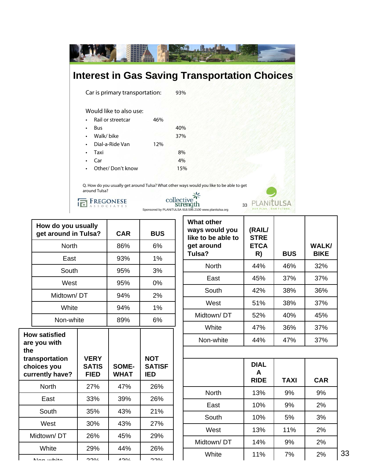

|     | How do you usually<br>get around in Tulsa?                                               |                                            | <b>CAR</b>           | <b>BUS</b>                                |
|-----|------------------------------------------------------------------------------------------|--------------------------------------------|----------------------|-------------------------------------------|
|     | <b>North</b>                                                                             |                                            | 86%                  | 6%                                        |
|     | East                                                                                     |                                            | 93%                  | 1%                                        |
|     | South                                                                                    |                                            | 95%                  | 3%                                        |
|     | West                                                                                     |                                            | 95%                  | 0%                                        |
|     | Midtown/DT                                                                               |                                            | 94%                  | 2%                                        |
|     | White                                                                                    |                                            | 94%                  | 1%                                        |
|     | Non-white                                                                                |                                            | 89%                  | 6%                                        |
| the | <b>How satisfied</b><br>are you with<br>transportation<br>choices you<br>currently have? | <b>VERY</b><br><b>SATIS</b><br><b>FIED</b> | SOME-<br><b>WHAT</b> | <b>NOT</b><br><b>SATISF</b><br><b>IED</b> |
|     | <b>North</b>                                                                             | 27%                                        | 47%                  | 26%                                       |
|     | East                                                                                     | 33%                                        | 39%                  | 26%                                       |
|     | South                                                                                    | 35%                                        | 43%                  | 21%                                       |
|     | West                                                                                     | 30%                                        | 43%                  | 27%                                       |
|     | Midtown/DT                                                                               | 26%                                        | 45%                  | 29%                                       |
|     | White                                                                                    | 29%                                        | 44%                  | 26%                                       |
|     | مانطين مملكا                                                                             | 220/                                       | 100/                 | ∕חרי                                      |

| <b>What other</b><br>ways would you<br>like to be able to<br>get around<br>Tulsa? | (RAIL/<br><b>STRE</b><br><b>ETCA</b><br>R) | <b>BUS</b> | <b>WALK/</b><br><b>BIKE</b> |
|-----------------------------------------------------------------------------------|--------------------------------------------|------------|-----------------------------|
| North                                                                             | 44%                                        | 46%        | 32%                         |
| East                                                                              | 45%                                        | 37%        | 37%                         |
| South                                                                             | 42%                                        | 38%        | 36%                         |
| West                                                                              | 51%                                        | 38%        | 37%                         |
| Midtown/DT                                                                        | 52%                                        | 40%        | 45%                         |
| White                                                                             | 47%                                        | 36%        | 37%                         |
| Non-white                                                                         | 44%                                        | 47%        | 37%                         |

|              | <b>DIAL</b><br>A<br><b>RIDE</b> | <b>TAXI</b> | <b>CAR</b> |
|--------------|---------------------------------|-------------|------------|
| <b>North</b> | 13%                             | 9%          | 9%         |
| East         | 10%                             | 9%          | 2%         |
| South        | 10%                             | 5%          | 3%         |
| West         | 13%                             | 11%         | 2%         |
| Midtown/DT   | 14%                             | 9%          | 2%         |
| White        | 11%                             | 7%          | 2%         |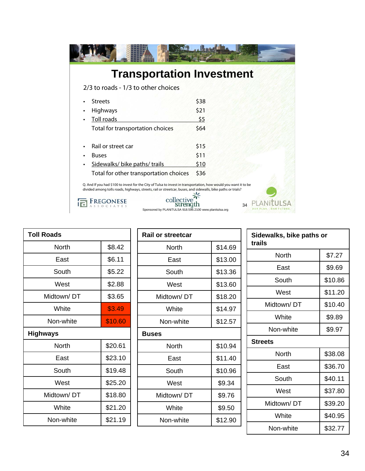| <b>Transportation Investment</b>                                                                                                                                                                                                       |
|----------------------------------------------------------------------------------------------------------------------------------------------------------------------------------------------------------------------------------------|
|                                                                                                                                                                                                                                        |
| \$38                                                                                                                                                                                                                                   |
| \$21                                                                                                                                                                                                                                   |
| \$5                                                                                                                                                                                                                                    |
| \$64                                                                                                                                                                                                                                   |
| \$15                                                                                                                                                                                                                                   |
| \$11                                                                                                                                                                                                                                   |
| \$10                                                                                                                                                                                                                                   |
| \$36                                                                                                                                                                                                                                   |
| Q. And If you had \$100 to invest for the City of Tulsa to invest in transportation, how would you want it to be<br>divided among tolls roads, highways, streets, rail or streetcar, buses, and sidewalls, bike paths or trials?<br>34 |
| Sponsored by PLANiTULSA 918.596.2100 www.planitulsa.org                                                                                                                                                                                |

| <b>Toll Roads</b> |         |  |
|-------------------|---------|--|
| North             | \$8.42  |  |
| East              | \$6.11  |  |
| South             | \$5.22  |  |
| West              | \$2.88  |  |
| Midtown/DT        | \$3.65  |  |
| White             | \$3.49  |  |
| Non-white         | \$10.60 |  |
| <b>Highways</b>   |         |  |
|                   |         |  |
| North             | \$20.61 |  |
| East              | \$23.10 |  |
| South             | \$19.48 |  |
| West              | \$25.20 |  |
| Midtown/DT        | \$18.80 |  |
| White             | \$21.20 |  |

| <b>Rail or streetcar</b> |         |  |
|--------------------------|---------|--|
| North                    | \$14.69 |  |
| East                     | \$13.00 |  |
| South                    | \$13.36 |  |
| West                     | \$13.60 |  |
| Midtown/DT               | \$18.20 |  |
| White                    | \$14.97 |  |
| Non-white                | \$12.57 |  |
| <b>Buses</b>             |         |  |
| North                    | \$10.94 |  |
| East                     | \$11.40 |  |
| South                    | \$10.96 |  |
| West                     | \$9.34  |  |
| Midtown/DT               | \$9.76  |  |
| White                    | \$9.50  |  |
| Non-white                | \$12.90 |  |

| Sidewalks, bike paths or<br>trails |         |  |
|------------------------------------|---------|--|
| North                              | \$7.27  |  |
| East                               | \$9.69  |  |
| South                              | \$10.86 |  |
| West                               | \$11.20 |  |
| Midtown/DT                         | \$10.40 |  |
| White                              | \$9.89  |  |
| Non-white                          | \$9.97  |  |
| <b>Streets</b>                     |         |  |
| North                              | \$38.08 |  |
| East                               | \$36.70 |  |
| South                              | \$40.11 |  |
| West                               | \$37.80 |  |
| Midtown/DT                         | \$39.20 |  |
| White                              | \$40.95 |  |
| Non-white                          | \$32.77 |  |
|                                    |         |  |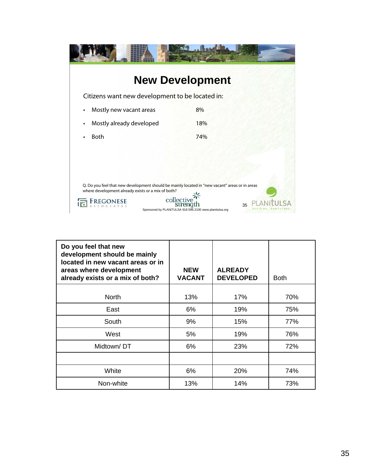|                                                                                                                                                      | <b>New Development</b>                                        |
|------------------------------------------------------------------------------------------------------------------------------------------------------|---------------------------------------------------------------|
| Citizens want new development to be located in:                                                                                                      |                                                               |
| Mostly new vacant areas                                                                                                                              | 8%                                                            |
| Mostly already developed<br>$\bullet$                                                                                                                | 18%                                                           |
| <b>Both</b>                                                                                                                                          | 74%                                                           |
|                                                                                                                                                      |                                                               |
|                                                                                                                                                      |                                                               |
| Q. Do you feel that new development should be mainly located in "new vacant" areas or in areas<br>where development already exists or a mix of both? | collectiv                                                     |
|                                                                                                                                                      | 35<br>Sponsored by PLANiTULSA 918.596.2100 www.planitulsa.org |

| Do you feel that new<br>development should be mainly<br>located in new vacant areas or in<br>areas where development<br>already exists or a mix of both? | <b>NEW</b><br><b>VACANT</b> | <b>ALREADY</b><br><b>DEVELOPED</b> | <b>Both</b> |
|----------------------------------------------------------------------------------------------------------------------------------------------------------|-----------------------------|------------------------------------|-------------|
| <b>North</b>                                                                                                                                             | 13%                         | 17%                                | 70%         |
| East                                                                                                                                                     | 6%                          | 19%                                | 75%         |
| South                                                                                                                                                    | 9%                          | 15%                                | 77%         |
| West                                                                                                                                                     | 5%                          | 19%                                | 76%         |
| Midtown/DT                                                                                                                                               | 6%                          | 23%                                | 72%         |
|                                                                                                                                                          |                             |                                    |             |
| White                                                                                                                                                    | 6%                          | 20%                                | 74%         |
| Non-white                                                                                                                                                | 13%                         | 14%                                | 73%         |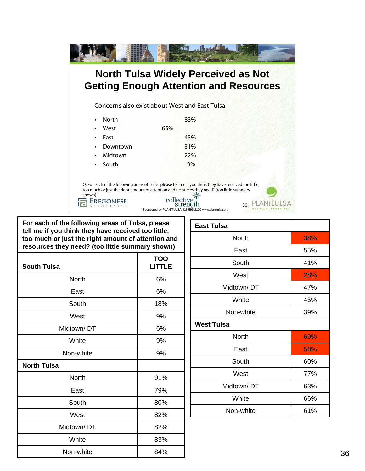|                           | <b>North Tulsa Widely Perceived as Not</b>                                                                                                                                                             |  |
|---------------------------|--------------------------------------------------------------------------------------------------------------------------------------------------------------------------------------------------------|--|
|                           | <b>Getting Enough Attention and Resources</b>                                                                                                                                                          |  |
|                           | Concerns also exist about West and East Tulsa                                                                                                                                                          |  |
| <b>North</b><br>$\bullet$ | 83%                                                                                                                                                                                                    |  |
| West<br>$\bullet$         | 65%                                                                                                                                                                                                    |  |
| East<br>$\bullet$         | 43%                                                                                                                                                                                                    |  |
| Downtown<br>$\bullet$     | 31%                                                                                                                                                                                                    |  |
| Midtown<br>$\bullet$      | 22%                                                                                                                                                                                                    |  |
| South<br>$\bullet$        | 9%                                                                                                                                                                                                     |  |
|                           |                                                                                                                                                                                                        |  |
|                           | Q. For each of the following areas of Tulsa, please tell me if you think they have received too little,<br>too much or just the right amount of attention and resources they need? (too little summary |  |
| shown)                    | collective                                                                                                                                                                                             |  |
|                           | 36<br>Sponsored by PLANiTULSA 918.596.2100 www.planitulsa.org                                                                                                                                          |  |

**For each of the following areas of Tulsa, please tell me if you think they have received too little, too much or just the right amount of attention and resources they need? (too little summary shown)**

| <b>South Tulsa</b> | <b>TOO</b><br>LITTLE |
|--------------------|----------------------|
| North              | 6%                   |
| East               | 6%                   |
| South              | 18%                  |
| West               | 9%                   |
| Midtown/DT         | 6%                   |
| White              | 9%                   |
| Non-white          | 9%                   |
| <b>North Tulsa</b> |                      |
| North              | 91%                  |
| East               | 79%                  |
| South              | 80%                  |
| West               | 82%                  |
| Midtown/DT         | 82%                  |
| White              | 83%                  |
| Non-white          | 84%                  |

| <b>East Tulsa</b> |     |
|-------------------|-----|
| <b>North</b>      | 38% |
| East              | 55% |
| South             | 41% |
| West              | 28% |
| Midtown/DT        | 47% |
| White             | 45% |
| Non-white         | 39% |
| <b>West Tulsa</b> |     |
| <b>North</b>      | 69% |
| East              | 58% |
| South             | 60% |
| West              | 77% |
| Midtown/DT        | 63% |
| White             | 66% |
| Non-white         | 61% |
|                   |     |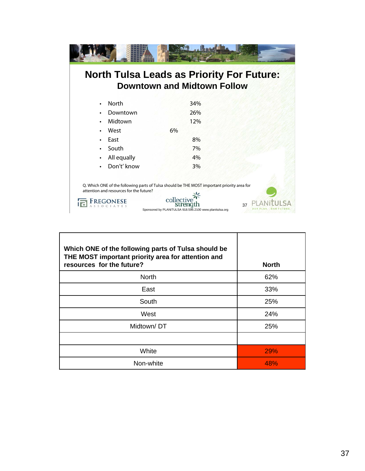|                                         | <b>North Tulsa Leads as Priority For Future:</b><br><b>Downtown and Midtown Follow</b>                                                                                               |  |
|-----------------------------------------|--------------------------------------------------------------------------------------------------------------------------------------------------------------------------------------|--|
| <b>North</b><br>$\bullet$               | 34%                                                                                                                                                                                  |  |
| Downtown                                | 26%                                                                                                                                                                                  |  |
| Midtown                                 | 12%                                                                                                                                                                                  |  |
| West                                    | 6%                                                                                                                                                                                   |  |
| East                                    | 8%                                                                                                                                                                                   |  |
| South                                   | 7%                                                                                                                                                                                   |  |
| All equally<br>$\bullet$                | 4%                                                                                                                                                                                   |  |
| Don't' know                             | 3%                                                                                                                                                                                   |  |
| attention and resources for the future? | Q. Which ONE of the following parts of Tulsa should be THE MOST important priority area for<br>collective<br>streng<br>37<br>Sponsored by PLANiTULSA 918.596.2100 www.planitulsa.org |  |

| Which ONE of the following parts of Tulsa should be<br>THE MOST important priority area for attention and<br>resources for the future? | <b>North</b> |
|----------------------------------------------------------------------------------------------------------------------------------------|--------------|
| <b>North</b>                                                                                                                           | 62%          |
| East                                                                                                                                   | 33%          |
| South                                                                                                                                  | 25%          |
| West                                                                                                                                   | 24%          |
| Midtown/DT                                                                                                                             | 25%          |
|                                                                                                                                        |              |
| White                                                                                                                                  | 29%          |
| Non-white                                                                                                                              | 48%          |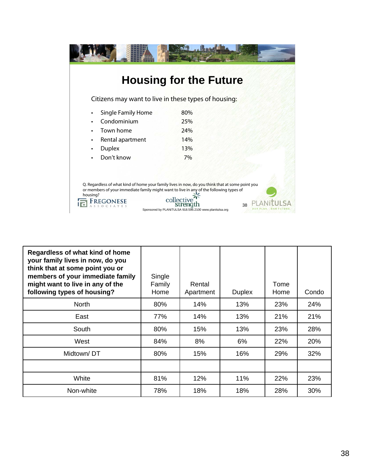|                                                                                                     | <b>Housing for the Future</b>                                                                                                                                                  |
|-----------------------------------------------------------------------------------------------------|--------------------------------------------------------------------------------------------------------------------------------------------------------------------------------|
| Citizens may want to live in these types of housing:                                                |                                                                                                                                                                                |
| <b>Single Family Home</b>                                                                           | 80%                                                                                                                                                                            |
| Condominium                                                                                         | 25%                                                                                                                                                                            |
| Town home                                                                                           | 24%                                                                                                                                                                            |
| Rental apartment                                                                                    | 14%                                                                                                                                                                            |
| <b>Duplex</b>                                                                                       | 13%                                                                                                                                                                            |
| Don't know                                                                                          | 7%                                                                                                                                                                             |
| or members of your immediate family might want to live in any of the following types of<br>housing? | Q. Regardless of what kind of home your family lives in now, do you think that at some point you<br>collectiv<br>38<br>Sponsored by PLANiTULSA 918.596.2100 www.planitulsa.org |

| Regardless of what kind of home<br>your family lives in now, do you<br>think that at some point you or<br>members of your immediate family<br>might want to live in any of the<br>following types of housing? | Single<br>Family<br>Home | Rental<br>Apartment | <b>Duplex</b> | Tome<br>Home | Condo |
|---------------------------------------------------------------------------------------------------------------------------------------------------------------------------------------------------------------|--------------------------|---------------------|---------------|--------------|-------|
| <b>North</b>                                                                                                                                                                                                  | 80%                      | 14%                 | 13%           | 23%          | 24%   |
| East                                                                                                                                                                                                          | 77%                      | 14%                 | 13%           | 21%          | 21%   |
| South                                                                                                                                                                                                         | 80%                      | 15%                 | 13%           | 23%          | 28%   |
| West                                                                                                                                                                                                          | 84%                      | 8%                  | 6%            | 22%          | 20%   |
| Midtown/DT                                                                                                                                                                                                    | 80%                      | 15%                 | 16%           | 29%          | 32%   |
|                                                                                                                                                                                                               |                          |                     |               |              |       |
| White                                                                                                                                                                                                         | 81%                      | 12%                 | 11%           | 22%          | 23%   |
| Non-white                                                                                                                                                                                                     | 78%                      | 18%                 | 18%           | 28%          | 30%   |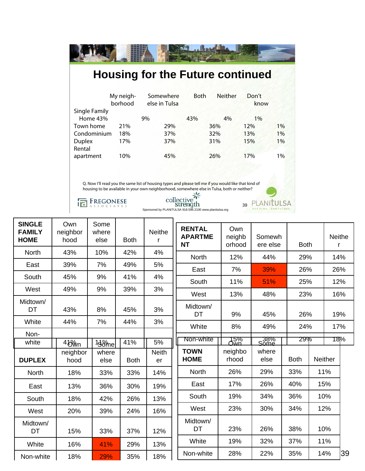| My neigh-<br>borhood | Somewhere<br>else in Tulsa | Both             | Neither | Don't<br>know                               |                                                                                                                                                                                                                                                                 |
|----------------------|----------------------------|------------------|---------|---------------------------------------------|-----------------------------------------------------------------------------------------------------------------------------------------------------------------------------------------------------------------------------------------------------------------|
|                      |                            |                  |         |                                             |                                                                                                                                                                                                                                                                 |
|                      |                            |                  |         |                                             | 1%                                                                                                                                                                                                                                                              |
| Condominium<br>18%   |                            |                  |         | 13%                                         | 1%                                                                                                                                                                                                                                                              |
| 17%                  | 37%                        |                  |         | 15%                                         | $1\%$                                                                                                                                                                                                                                                           |
| 10%                  | 45%                        |                  |         | 17%                                         | $1\%$                                                                                                                                                                                                                                                           |
|                      |                            |                  |         |                                             |                                                                                                                                                                                                                                                                 |
|                      |                            |                  |         |                                             |                                                                                                                                                                                                                                                                 |
|                      | 21%                        | 9%<br>29%<br>37% | 43%     | 4%<br>36%<br>32%<br>31%<br>26%<br>collectiv | <b>Housing for the Future continued</b><br>$1\%$<br>12%<br>Q. Now I'll read you the same list of housing types and please tell me if you would like that kind of<br>housing to be available in your own neighborhood, somewhere else in Tulsa, both or neither? |

39 Sponsored by PLANiTULSA 918.596.2100 www.planitulsa.org

| <b>SINGLE</b><br><b>FAMILY</b><br><b>HOME</b> | Own<br>neighbor<br>hood | Some<br>where<br>else | <b>Both</b> | <b>Neithe</b><br>r | <b>RENTAL</b><br><b>APARTME</b><br><b>NT</b> | Own<br>neighb<br>orhood | Somewh<br>ere else | <b>Both</b> |     | Neithe<br>r    |     |
|-----------------------------------------------|-------------------------|-----------------------|-------------|--------------------|----------------------------------------------|-------------------------|--------------------|-------------|-----|----------------|-----|
| <b>North</b>                                  | 43%                     | 10%                   | 42%         | 4%                 | <b>North</b>                                 | 12%                     | 44%                | 29%         |     | 14%            |     |
| East                                          | 39%                     | 7%                    | 49%         | 5%                 |                                              | 7%                      | 39%                | 26%         |     | 26%            |     |
| South                                         | 45%                     | 9%                    | 41%         | 4%                 | East                                         |                         |                    |             |     |                |     |
| West                                          | 49%                     | 9%                    | 39%         | 3%                 | South                                        | 11%                     | 51%                | 25%         |     | 12%            |     |
|                                               |                         |                       |             |                    | West                                         | 13%                     | 48%                | 23%         |     | 16%            |     |
| Midtown/<br>DT                                | 43%                     | 8%                    | 45%         | 3%                 | Midtown/<br>DT                               | 9%                      | 45%                |             | 26% |                | 19% |
| White                                         | 44%                     | 7%                    | 44%         | 3%                 | White                                        | 8%                      | 49%                | 24%         |     | 17%            |     |
| Non-                                          |                         |                       |             |                    |                                              |                         |                    |             |     |                |     |
| white                                         | 4 <sup>8</sup>          | 13% <sub>me</sub>     | 41%         | 5%                 | Non-white                                    | 15%<br>Own              | _38%<br>Some       | 29%         |     | 181%           |     |
| <b>DUPLEX</b>                                 | neighbor<br>hood        | where<br>else         | <b>Both</b> | <b>Neith</b><br>er | <b>TOWN</b><br><b>HOME</b>                   | neighbo<br>rhood        | where<br>else      | <b>Both</b> |     | <b>Neither</b> |     |
| <b>North</b>                                  | 18%                     | 33%                   | 33%         | 14%                | <b>North</b>                                 | 26%                     | 29%                | 33%         |     | 11%            |     |
| East                                          | 13%                     | 36%                   | 30%         | 19%                | East                                         | 17%                     | 26%                | 40%         |     | 15%            |     |
| South                                         | 18%                     | 42%                   | 26%         | 13%                | South                                        | 19%                     | 34%                | 36%         |     | 10%            |     |
| West                                          | 20%                     | 39%                   | 24%         | 16%                | West                                         | 23%                     | 30%                | 34%         |     | 12%            |     |
| Midtown/<br>DT                                | 15%                     | 33%                   | 37%         | 12%                | Midtown/<br>DT                               | 23%                     | 26%                | 38%         |     | 10%            |     |
| White                                         | 16%                     | 41%                   | 29%         | 13%                | White                                        | 19%                     | 32%                | 37%         |     | 11%            |     |
| Non-white                                     | 18%                     | 29%                   | 35%         | 18%                | Non-white                                    | 28%                     | 22%                | 35%         |     | 14%            | 39  |
|                                               |                         |                       |             |                    |                                              |                         |                    |             |     |                |     |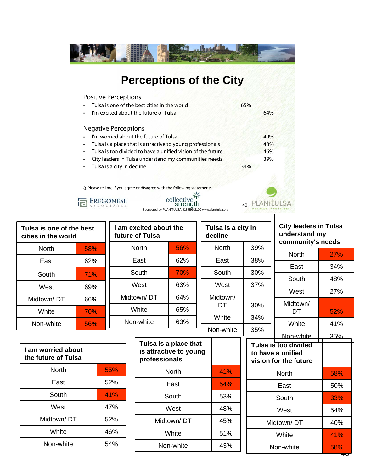

| Tulsa is one of the best<br>cities in the world | Tulsa is a city in<br>am excited about the<br>future of Tulsa<br>decline |                                                                  |                  |              |     |                  |            | <b>City leaders in Tulsa</b><br>understand my<br>community's needs              |            |
|-------------------------------------------------|--------------------------------------------------------------------------|------------------------------------------------------------------|------------------|--------------|-----|------------------|------------|---------------------------------------------------------------------------------|------------|
| <b>North</b>                                    | 58%                                                                      |                                                                  | <b>North</b>     | 56%          |     | <b>North</b>     | 39%        | <b>North</b>                                                                    | 27%        |
| East                                            | 62%                                                                      |                                                                  | East             | 62%          |     | East             | 38%        |                                                                                 |            |
| South                                           | 71%                                                                      |                                                                  | South            | 70%          |     | South            | 30%        | East                                                                            | 34%        |
| West                                            | 69%                                                                      |                                                                  | West             | 63%          |     | West             | 37%        | South                                                                           | 48%        |
| Midtown/DT                                      | 66%                                                                      |                                                                  | Midtown/DT       | 64%          |     | Midtown/         |            | West                                                                            | 27%        |
|                                                 |                                                                          |                                                                  | White            | 65%          |     | <b>DT</b>        | 30%        | Midtown/                                                                        |            |
| White                                           | 70%                                                                      |                                                                  |                  |              |     | White            | 34%        | DT                                                                              | 52%        |
| Non-white                                       | 56%                                                                      |                                                                  | 63%<br>Non-white |              |     | 35%<br>Non-white |            | White                                                                           | 41%        |
| I am worried about<br>the future of Tulsa       |                                                                          | Tulsa is a place that<br>is attractive to young<br>professionals |                  |              |     |                  |            | Non-white<br>Tulsa is too divided<br>to have a unified<br>vision for the future | 35%        |
| <b>North</b>                                    |                                                                          | 55%                                                              |                  | <b>North</b> |     | 41%              | North      |                                                                                 | 58%        |
| East                                            |                                                                          | 52%                                                              |                  | East         |     | 54%              | East       |                                                                                 | 50%        |
| South                                           |                                                                          | 41%                                                              |                  | South        |     | 53%              | South      |                                                                                 | 33%        |
| West                                            |                                                                          | 47%                                                              | West             |              | 48% | West             |            | 54%                                                                             |            |
| Midtown/DT                                      |                                                                          | 52%                                                              |                  | Midtown/DT   |     |                  | Midtown/DT |                                                                                 | 40%        |
| White                                           |                                                                          | 46%                                                              | White            |              | 51% | White            |            | 41%                                                                             |            |
| Non-white                                       |                                                                          | 54%                                                              |                  | Non-white    |     | 43%              |            | Non-white                                                                       | 58%<br>ᢋᠸᢧ |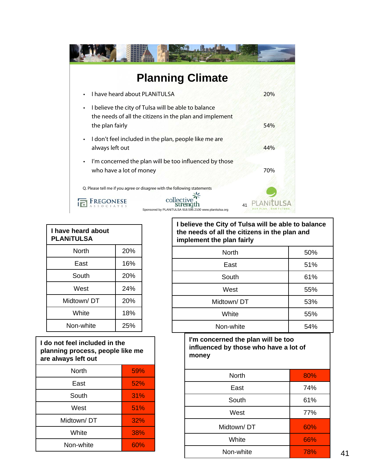

| I have heard about<br><b>PLANITULSA</b> |     |  |  |  |  |  |
|-----------------------------------------|-----|--|--|--|--|--|
| North                                   | 20% |  |  |  |  |  |
| East                                    | 16% |  |  |  |  |  |
| South                                   | 20% |  |  |  |  |  |
| West                                    | 24% |  |  |  |  |  |
| Midtown/DT                              | 20% |  |  |  |  |  |
| White                                   | 18% |  |  |  |  |  |
| Non-white                               | 25% |  |  |  |  |  |

| I do not feel included in the<br>planning process, people like me<br>are always left out |     |
|------------------------------------------------------------------------------------------|-----|
| <b>North</b>                                                                             | 59% |
| East                                                                                     | 52% |
| South                                                                                    | 31% |
| West                                                                                     | 51% |
| Midtown/DT                                                                               | 32% |
| White                                                                                    | 38% |
| Non-white                                                                                | 60% |

| <b>I Delicyle the Oily OF Fulsa Will be able to balance</b><br>the needs of all the citizens in the plan and<br>implement the plan fairly |     |  |
|-------------------------------------------------------------------------------------------------------------------------------------------|-----|--|
| <b>North</b>                                                                                                                              | 50% |  |
| East                                                                                                                                      | 51% |  |
| South                                                                                                                                     | 61% |  |
| West                                                                                                                                      | 55% |  |
| Midtown/DT                                                                                                                                | 53% |  |

| White     | 55% |
|-----------|-----|
| Non-white | 54% |
|           |     |

**I'm concerned the plan will be too influenced by those who have a lot of money**

| <b>North</b> | 80% |
|--------------|-----|
| East         | 74% |
| South        | 61% |
| West         | 77% |
| Midtown/DT   | 60% |
| White        | 66% |
| Non-white    | 78% |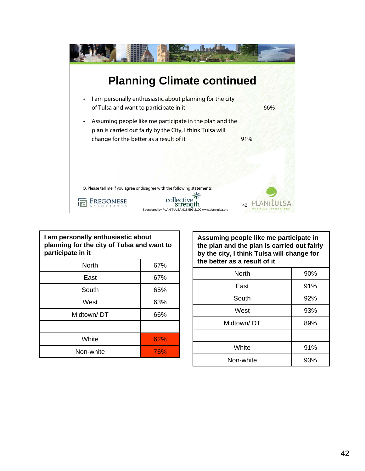

| I am personally enthusiastic about<br>planning for the city of Tulsa and want to<br>participate in it |     |  |
|-------------------------------------------------------------------------------------------------------|-----|--|
| North                                                                                                 | 67% |  |
| East                                                                                                  | 67% |  |
| South                                                                                                 | 65% |  |
| West                                                                                                  | 63% |  |
| Midtown/DT                                                                                            | 66% |  |
|                                                                                                       |     |  |
| White                                                                                                 | 62% |  |
| Non-white                                                                                             | 76% |  |

**Assuming people like me participate in the plan and the plan is carried out fairly by the city, I think Tulsa will change for the better as a result of it**

| <b>North</b> | 90% |
|--------------|-----|
| East         | 91% |
| South        | 92% |
| West         | 93% |
| Midtown/DT   | 89% |
|              |     |
| White        | 91% |
| Non-white    | 93% |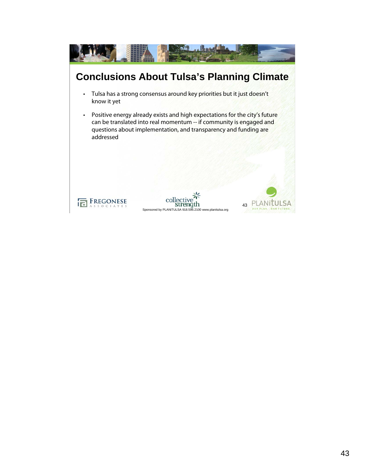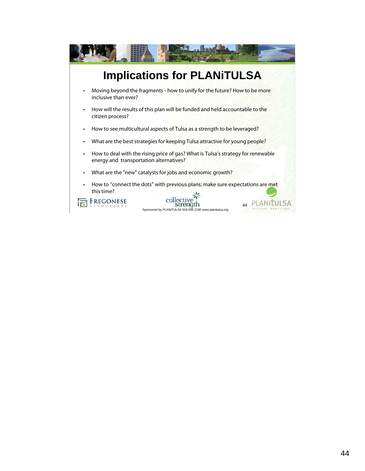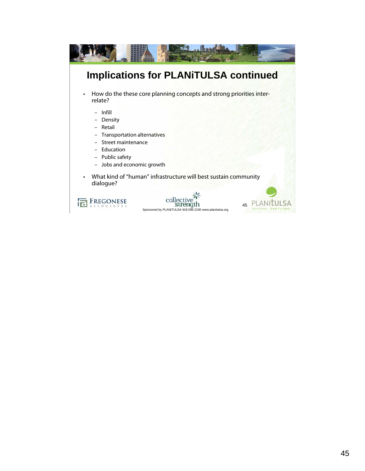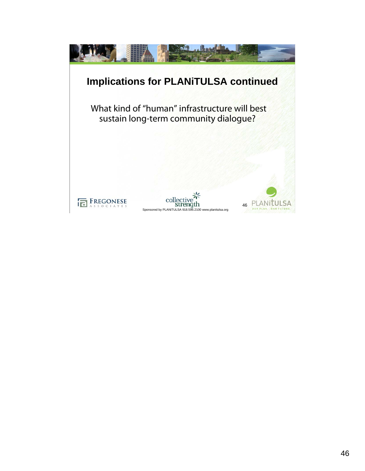